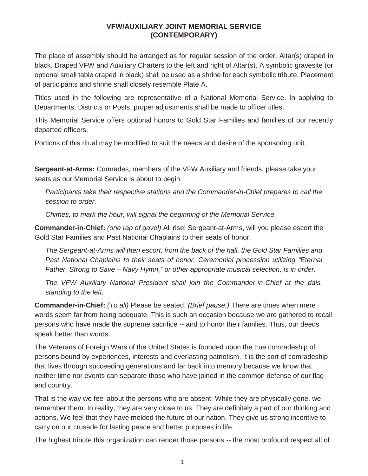### **VFW/AUXILIARY JOINT MEMORIAL SERVICE (CONTEMPORARY)**

The place of assembly should be arranged as for regular session of the order, Altar(s) draped in black. Draped VFW and Auxiliary Charters to the left and right of Altar(s). A symbolic gravesite (or optional small table draped in black) shall be used as a shrine for each symbolic tribute. Placement of participants and shrine shall closely resemble Plate A.

Titles used in the following are representative of a National Memorial Service. In applying to Departments, Districts or Posts, proper adjustments shall be made to officer titles.

This Memorial Service offers optional honors to Gold Star Families and families of our recently departed officers.

Portions of this ritual may be modified to suit the needs and desire of the sponsoring unit.

**Sergeant-at-Arms:** Comrades, members of the VFW Auxiliary and friends, please take your seats as our Memorial Service is about to begin.

*Participants take their respective stations and the Commander-in-Chief prepares to call the session to order.*

*Chimes, to mark the hour, will signal the beginning of the Memorial Service.*

**Commander-in-Chief:** *(one rap of gavel)* All rise! Sergeant-at-Arms, will you please escort the Gold Star Families and Past National Chaplains to their seats of honor.

*The Sergeant-at-Arms will then escort, from the back of the hall, the Gold Star Families and Past National Chaplains to their seats of honor. Ceremonial procession utilizing "Eternal Father, Strong to Save – Navy Hymn," or other appropriate musical selection, is in order.* 

*The VFW Auxiliary National President shall join the Commander-in-Chief at the dais, standing to the left.*

**Commander-in-Chief:** *(To all)* Please be seated. *(Brief pause.)* There are times when mere words seem far from being adequate. This is such an occasion because we are gathered to recall persons who have made the supreme sacrifice -- and to honor their families. Thus, our deeds speak better than words.

The Veterans of Foreign Wars of the United States is founded upon the true comradeship of persons bound by experiences, interests and everlasting patriotism. It is the sort of comradeship that lives through succeeding generations and far back into memory because we know that neither time nor events can separate those who have joined in the common defense of our flag and country.

That is the way we feel about the persons who are absent. While they are physically gone, we remember them. In reality, they are very close to us. They are definitely a part of our thinking and actions. We feel that they have molded the future of our nation. They give us strong incentive to carry on our crusade for lasting peace and better purposes in life.

The highest tribute this organization can render those persons -- the most profound respect all of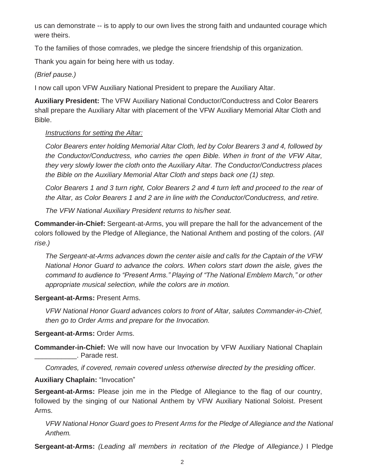us can demonstrate -- is to apply to our own lives the strong faith and undaunted courage which were theirs.

To the families of those comrades, we pledge the sincere friendship of this organization.

Thank you again for being here with us today.

*(Brief pause.)*

I now call upon VFW Auxiliary National President to prepare the Auxiliary Altar.

**Auxiliary President:** The VFW Auxiliary National Conductor/Conductress and Color Bearers shall prepare the Auxiliary Altar with placement of the VFW Auxiliary Memorial Altar Cloth and Bible.

## *Instructions for setting the Altar:*

*Color Bearers enter holding Memorial Altar Cloth, led by Color Bearers 3 and 4, followed by the Conductor/Conductress, who carries the open Bible. When in front of the VFW Altar, they very slowly lower the cloth onto the Auxiliary Altar. The Conductor/Conductress places the Bible on the Auxiliary Memorial Altar Cloth and steps back one (1) step.* 

*Color Bearers 1 and 3 turn right, Color Bearers 2 and 4 turn left and proceed to the rear of the Altar, as Color Bearers 1 and 2 are in line with the Conductor/Conductress, and retire.* 

*The VFW National Auxiliary President returns to his/her seat.*

**Commander-in-Chief:** Sergeant-at-Arms, you will prepare the hall for the advancement of the colors followed by the Pledge of Allegiance, the National Anthem and posting of the colors. *(All rise.)*

*The Sergeant-at-Arms advances down the center aisle and calls for the Captain of the VFW National Honor Guard to advance the colors. When colors start down the aisle, gives the command to audience to "Present Arms." Playing of "The National Emblem March," or other appropriate musical selection, while the colors are in motion.*

**Sergeant-at-Arms:** Present Arms.

*VFW National Honor Guard advances colors to front of Altar, salutes Commander-in-Chief, then go to Order Arms and prepare for the Invocation.*

# **Sergeant-at-Arms:** Order Arms.

**Commander-in-Chief:** We will now have our Invocation by VFW Auxiliary National Chaplain \_\_\_\_\_\_\_\_\_\_\_. Parade rest.

*Comrades, if covered, remain covered unless otherwise directed by the presiding officer.*

**Auxiliary Chaplain:** "Invocation"

**Sergeant-at-Arms:** Please join me in the Pledge of Allegiance to the flag of our country, followed by the singing of our National Anthem by VFW Auxiliary National Soloist. Present Arms.

*VFW National Honor Guard goes to Present Arms for the Pledge of Allegiance and the National Anthem.*

**Sergeant-at-Arms:** *(Leading all members in recitation of the Pledge of Allegiance.)* I Pledge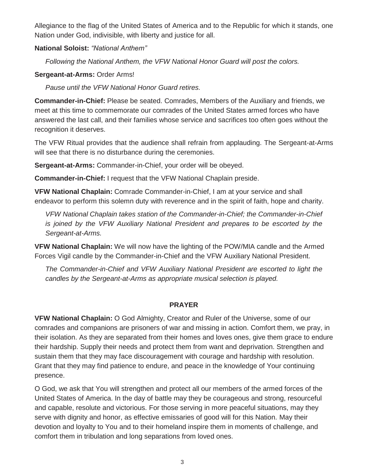Allegiance to the flag of the United States of America and to the Republic for which it stands, one Nation under God, indivisible, with liberty and justice for all.

### **National Soloist:** *"National Anthem"*

*Following the National Anthem, the VFW National Honor Guard will post the colors.*

### **Sergeant-at-Arms:** Order Arms!

*Pause until the VFW National Honor Guard retires.*

**Commander-in-Chief:** Please be seated. Comrades, Members of the Auxiliary and friends, we meet at this time to commemorate our comrades of the United States armed forces who have answered the last call, and their families whose service and sacrifices too often goes without the recognition it deserves.

The VFW Ritual provides that the audience shall refrain from applauding. The Sergeant-at-Arms will see that there is no disturbance during the ceremonies.

**Sergeant-at-Arms:** Commander-in-Chief, your order will be obeyed.

**Commander-in-Chief:** I request that the VFW National Chaplain preside.

**VFW National Chaplain:** Comrade Commander-in-Chief, I am at your service and shall endeavor to perform this solemn duty with reverence and in the spirit of faith, hope and charity.

*VFW National Chaplain takes station of the Commander-in-Chief; the Commander-in-Chief is joined by the VFW Auxiliary National President and prepares to be escorted by the Sergeant-at-Arms.*

**VFW National Chaplain:** We will now have the lighting of the POW/MIA candle and the Armed Forces Vigil candle by the Commander-in-Chief and the VFW Auxiliary National President.

*The Commander-in-Chief and VFW Auxiliary National President are escorted to light the candles by the Sergeant-at-Arms as appropriate musical selection is played.*

#### **PRAYER**

**VFW National Chaplain:** O God Almighty, Creator and Ruler of the Universe, some of our comrades and companions are prisoners of war and missing in action. Comfort them, we pray, in their isolation. As they are separated from their homes and loves ones, give them grace to endure their hardship. Supply their needs and protect them from want and deprivation. Strengthen and sustain them that they may face discouragement with courage and hardship with resolution. Grant that they may find patience to endure, and peace in the knowledge of Your continuing presence.

O God, we ask that You will strengthen and protect all our members of the armed forces of the United States of America. In the day of battle may they be courageous and strong, resourceful and capable, resolute and victorious. For those serving in more peaceful situations, may they serve with dignity and honor, as effective emissaries of good will for this Nation. May their devotion and loyalty to You and to their homeland inspire them in moments of challenge, and comfort them in tribulation and long separations from loved ones.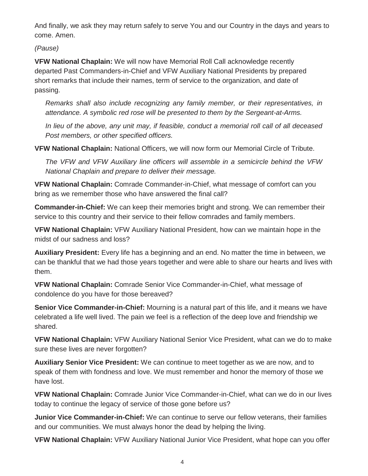And finally, we ask they may return safely to serve You and our Country in the days and years to come. Amen.

*(Pause)*

**VFW National Chaplain:** We will now have Memorial Roll Call acknowledge recently departed Past Commanders-in-Chief and VFW Auxiliary National Presidents by prepared short remarks that include their names, term of service to the organization, and date of passing.

*Remarks shall also include recognizing any family member, or their representatives, in attendance. A symbolic red rose will be presented to them by the Sergeant-at-Arms.*

*In lieu of the above, any unit may, if feasible, conduct a memorial roll call of all deceased Post members, or other specified officers.*

**VFW National Chaplain:** National Officers, we will now form our Memorial Circle of Tribute.

*The VFW and VFW Auxiliary line officers will assemble in a semicircle behind the VFW National Chaplain and prepare to deliver their message.*

**VFW National Chaplain:** Comrade Commander-in-Chief, what message of comfort can you bring as we remember those who have answered the final call?

**Commander-in-Chief:** We can keep their memories bright and strong. We can remember their service to this country and their service to their fellow comrades and family members.

**VFW National Chaplain:** VFW Auxiliary National President, how can we maintain hope in the midst of our sadness and loss?

**Auxiliary President:** Every life has a beginning and an end. No matter the time in between, we can be thankful that we had those years together and were able to share our hearts and lives with them.

**VFW National Chaplain:** Comrade Senior Vice Commander-in-Chief, what message of condolence do you have for those bereaved?

**Senior Vice Commander-in-Chief:** Mourning is a natural part of this life, and it means we have celebrated a life well lived. The pain we feel is a reflection of the deep love and friendship we shared.

**VFW National Chaplain:** VFW Auxiliary National Senior Vice President, what can we do to make sure these lives are never forgotten?

**Auxiliary Senior Vice President:** We can continue to meet together as we are now, and to speak of them with fondness and love. We must remember and honor the memory of those we have lost.

**VFW National Chaplain:** Comrade Junior Vice Commander-in-Chief, what can we do in our lives today to continue the legacy of service of those gone before us?

**Junior Vice Commander-in-Chief:** We can continue to serve our fellow veterans, their families and our communities. We must always honor the dead by helping the living.

**VFW National Chaplain:** VFW Auxiliary National Junior Vice President, what hope can you offer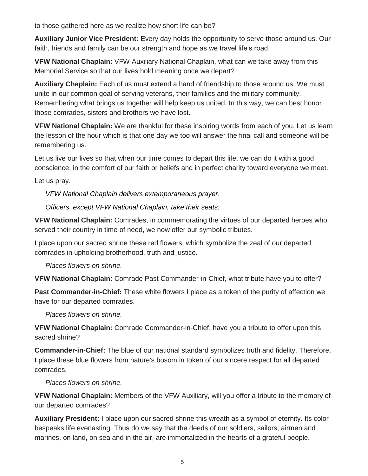to those gathered here as we realize how short life can be?

**Auxiliary Junior Vice President:** Every day holds the opportunity to serve those around us. Our faith, friends and family can be our strength and hope as we travel life's road.

**VFW National Chaplain:** VFW Auxiliary National Chaplain, what can we take away from this Memorial Service so that our lives hold meaning once we depart?

**Auxiliary Chaplain:** Each of us must extend a hand of friendship to those around us. We must unite in our common goal of serving veterans, their families and the military community. Remembering what brings us together will help keep us united. In this way, we can best honor those comrades, sisters and brothers we have lost.

**VFW National Chaplain:** We are thankful for these inspiring words from each of you. Let us learn the lesson of the hour which is that one day we too will answer the final call and someone will be remembering us.

Let us live our lives so that when our time comes to depart this life, we can do it with a good conscience, in the comfort of our faith or beliefs and in perfect charity toward everyone we meet.

Let us pray.

*VFW National Chaplain delivers extemporaneous prayer*.

*Officers, except VFW National Chaplain, take their seats.*

**VFW National Chaplain:** Comrades, in commemorating the virtues of our departed heroes who served their country in time of need, we now offer our symbolic tributes.

I place upon our sacred shrine these red flowers, which symbolize the zeal of our departed comrades in upholding brotherhood, truth and justice.

*Places flowers on shrine.*

**VFW National Chaplain:** Comrade Past Commander-in-Chief, what tribute have you to offer?

**Past Commander-in-Chief:** These white flowers I place as a token of the purity of affection we have for our departed comrades.

*Places flowers on shrine.*

**VFW National Chaplain:** Comrade Commander-in-Chief, have you a tribute to offer upon this sacred shrine?

**Commander-in-Chief:** The blue of our national standard symbolizes truth and fidelity. Therefore, I place these blue flowers from nature's bosom in token of our sincere respect for all departed comrades.

*Places flowers on shrine.*

**VFW National Chaplain:** Members of the VFW Auxiliary, will you offer a tribute to the memory of our departed comrades?

**Auxiliary President:** I place upon our sacred shrine this wreath as a symbol of eternity. Its color bespeaks life everlasting. Thus do we say that the deeds of our soldiers, sailors, airmen and marines, on land, on sea and in the air, are immortalized in the hearts of a grateful people.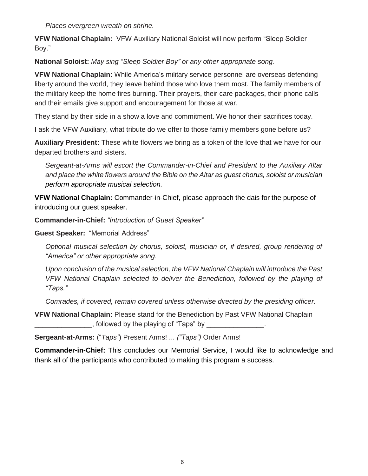*Places evergreen wreath on shrine.*

**VFW National Chaplain:** VFW Auxiliary National Soloist will now perform "Sleep Soldier Boy."

**National Soloist:** *May sing "Sleep Soldier Boy" or any other appropriate song.*

**VFW National Chaplain:** While America's military service personnel are overseas defending liberty around the world, they leave behind those who love them most. The family members of the military keep the home fires burning. Their prayers, their care packages, their phone calls and their emails give support and encouragement for those at war.

They stand by their side in a show a love and commitment. We honor their sacrifices today.

I ask the VFW Auxiliary, what tribute do we offer to those family members gone before us?

**Auxiliary President:** These white flowers we bring as a token of the love that we have for our departed brothers and sisters.

*Sergeant-at-Arms will escort the Commander-in-Chief and President to the Auxiliary Altar and place the white flowers around the Bible on the Altar as guest chorus, soloist or musician perform appropriate musical selection.*

**VFW National Chaplain:** Commander-in-Chief, please approach the dais for the purpose of introducing our guest speaker.

**Commander-in-Chief:** *"Introduction of Guest Speaker"*

**Guest Speaker:** "Memorial Address"

*Optional musical selection by chorus, soloist, musician or, if desired, group rendering of "America" or other appropriate song.*

*Upon conclusion of the musical selection, the VFW National Chaplain will introduce the Past VFW National Chaplain selected to deliver the Benediction, followed by the playing of "Taps."*

*Comrades, if covered, remain covered unless otherwise directed by the presiding officer.*

**VFW National Chaplain:** Please stand for the Benediction by Past VFW National Chaplain  $\Box$ , followed by the playing of "Taps" by

**Sergeant-at-Arms:** ("*Taps"*) Present Arms! ... *("Taps")* Order Arms!

**Commander-in-Chief:** This concludes our Memorial Service, I would like to acknowledge and thank all of the participants who contributed to making this program a success.